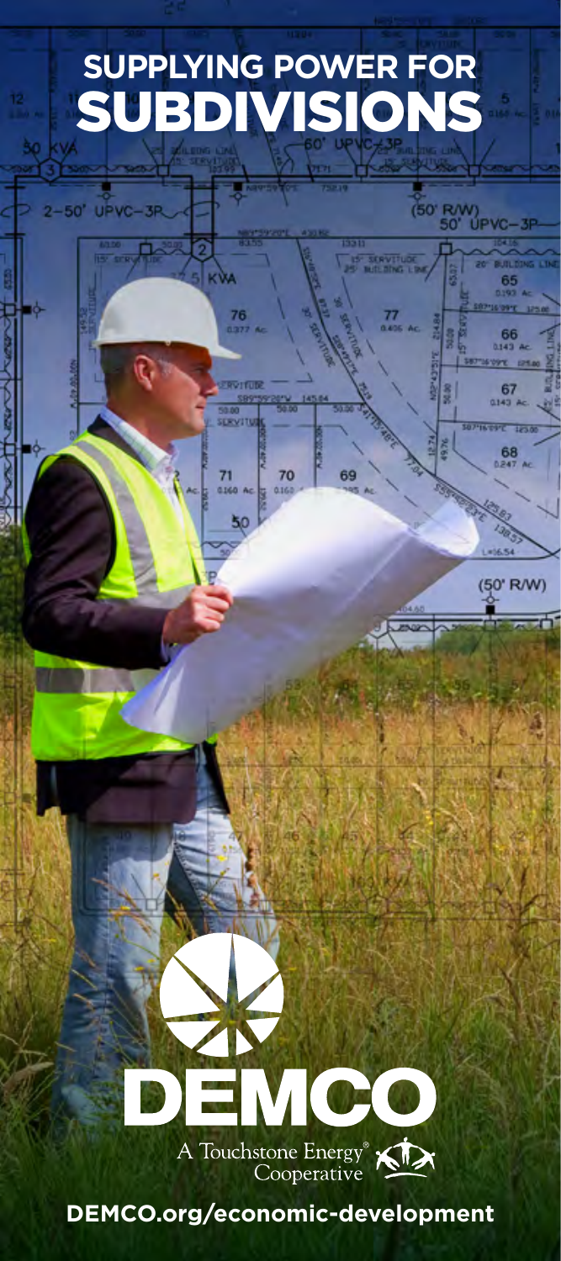

**DEMCO.org/economic-development**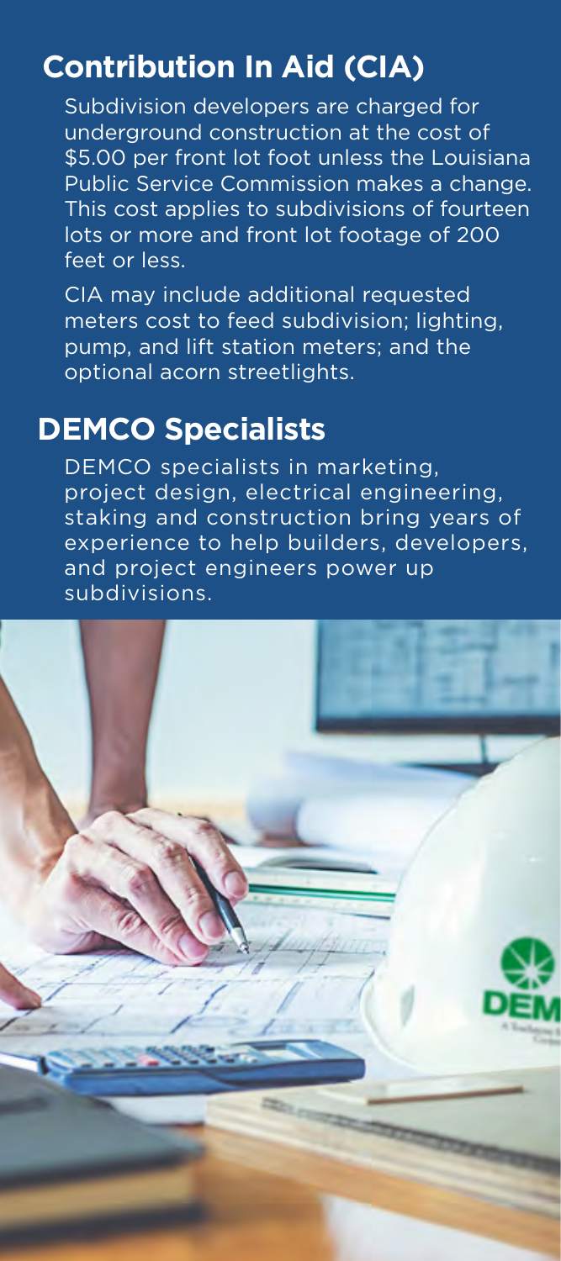# **Contribution In Aid (CIA)**

Subdivision developers are charged for underground construction at the cost of \$5.00 per front lot foot unless the Louisiana Public Service Commission makes a change. This cost applies to subdivisions of fourteen lots or more and front lot footage of 200 feet or less.

CIA may include additional requested meters cost to feed subdivision; lighting, pump, and lift station meters; and the optional acorn streetlights.

## **DEMCO Specialists**

DEMCO specialists in marketing, project design, electrical engineering, staking and construction bring years of experience to help builders, developers, and project engineers power up subdivisions.

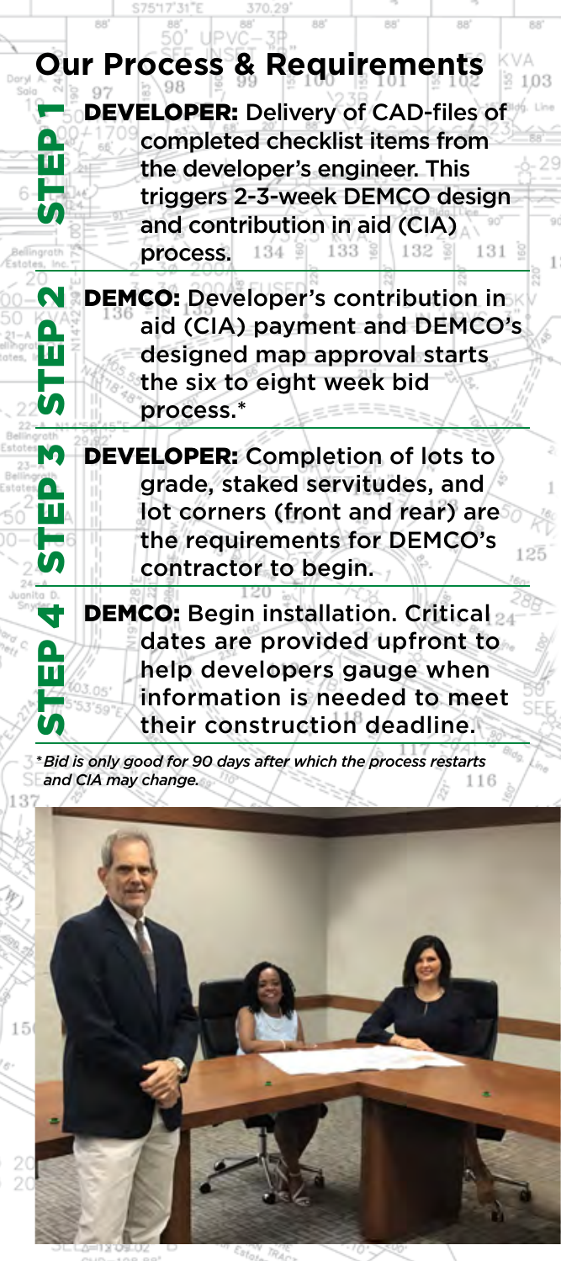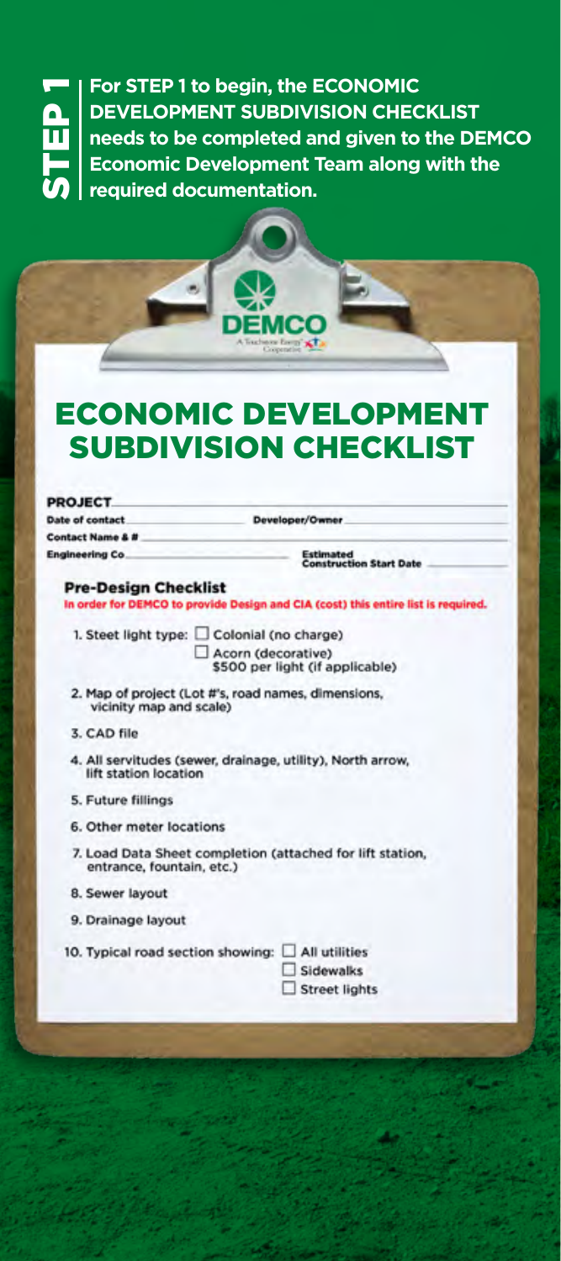**STEP 1 to begin, the ECONOMIC<br>
DEVELOPMENT SUBDIVISION CHEC<br>
needs to be completed and given to<br>
Economic Development Team along<br>
Sequired documentation. DEVELOPMENT SUBDIVISION CHECKLIST needs to be completed and given to the DEMCO Economic Development Team along with the required documentation.**

# **ECONOMIC DEVELOPME** SUBDIVISION CHECKLIST

Develop  $\sim$ 

|  |  | <b>PROJECT</b> |  |
|--|--|----------------|--|
|  |  |                |  |
|  |  |                |  |

**Engineering Co.** 

**Date of contact Contact Name & #** 

mated<br>struction Start Date

#### **Pre-Design Checklist**

In order for DEMCO to provide Design and CIA (cost) this entire list is required.

1. Steet light type: Colonial (no charge)

Acorn (decorative) \$500 per light (if applicable)

- 2. Map of project (Lot #'s, road names, dimensions, vicinity map and scale)
- 3. CAD file
- 4. All servitudes (sewer, drainage, utility), North arrow, lift station location
- 5. Future fillings
- 6. Other meter locations
- 7. Load Data Sheet completion (attached for lift station, entrance, fountain, etc.)
- 8. Sewer layout
- 9. Drainage layout

10. Typical road section showing:

| All utilities        |
|----------------------|
| $\square$ Sidewalks  |
| $\Box$ Street lights |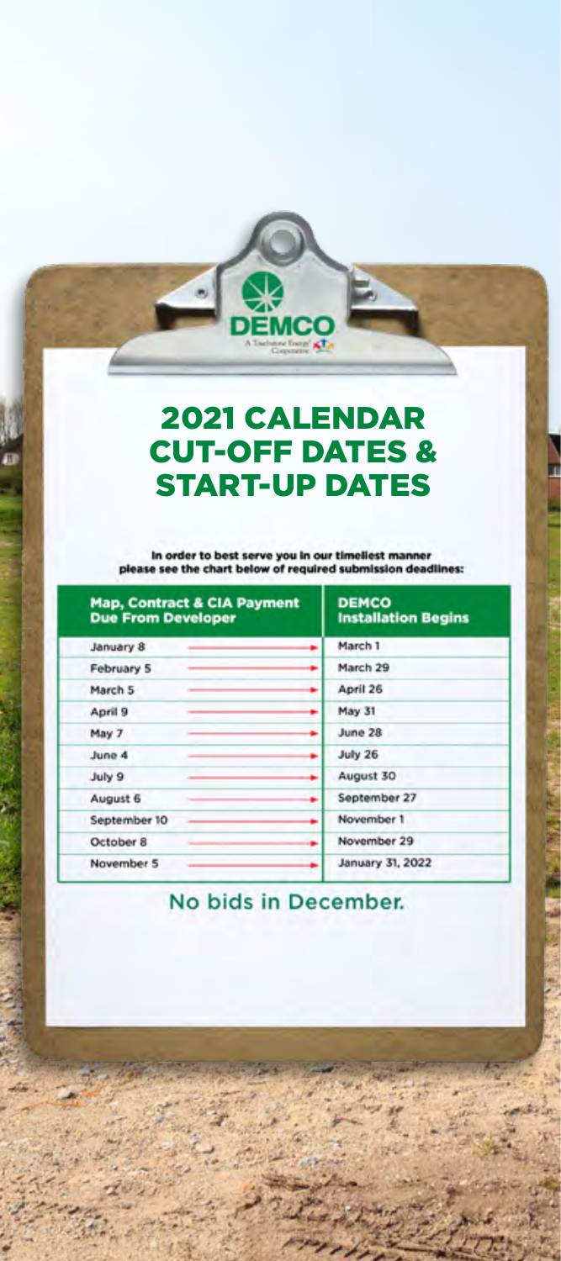### 2021 CALENDAR CUT-OFF DATES & START-UP DATES

**EMCC** 

er to best serve y et b

| <b>Map, Contract &amp; CIA Payment</b><br><b>Due From Developer</b> | <b>DEMCO</b><br><b>Installation Begins</b> |  |  |
|---------------------------------------------------------------------|--------------------------------------------|--|--|
| January 8<br>۰                                                      | March 1                                    |  |  |
| February 5                                                          | March 29                                   |  |  |
| March 5                                                             | April 26                                   |  |  |
| April 9<br>۰                                                        | May 31                                     |  |  |
| May 7                                                               | June 28                                    |  |  |
| June 4                                                              | July 26                                    |  |  |
| July 9<br>۰                                                         | August 30                                  |  |  |
| August 6<br>٠                                                       | September 27                               |  |  |
| September 10                                                        | November 1                                 |  |  |
| October 8<br>۰                                                      | November 29                                |  |  |
| November 5                                                          | January 31, 2022                           |  |  |

### No bids in December.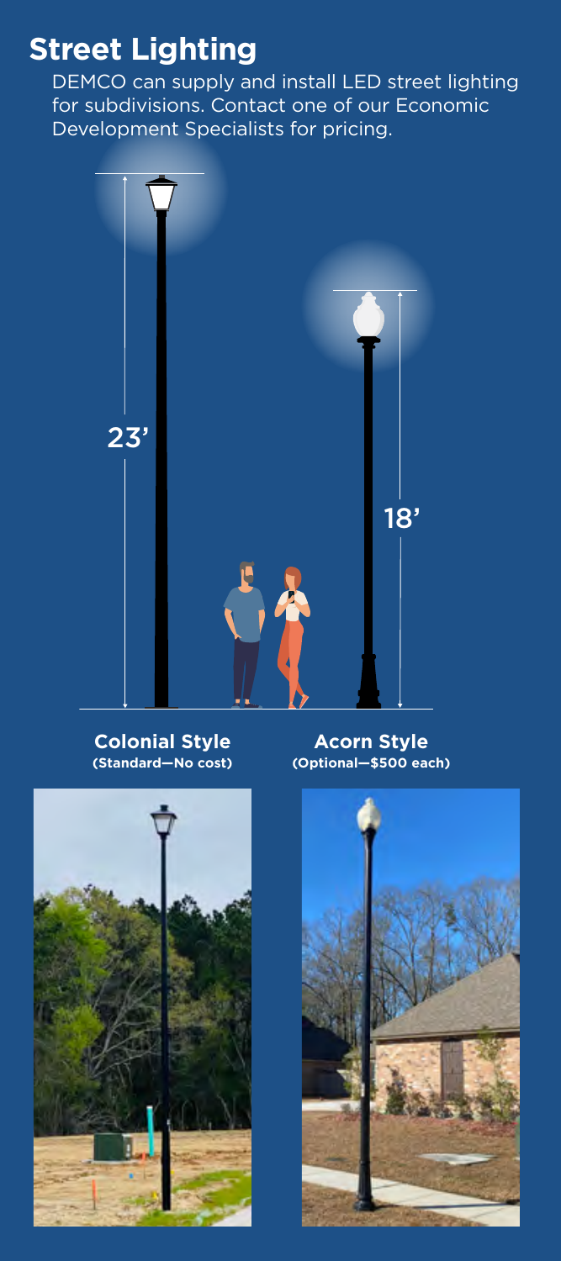# **Street Lighting**

DEMCO can supply and install LED street lighting for subdivisions. Contact one of our Economic Development Specialists for pricing.



#### **Colonial Style (Standard—No cost)**

**Acorn Style (Optional—\$500 each)**